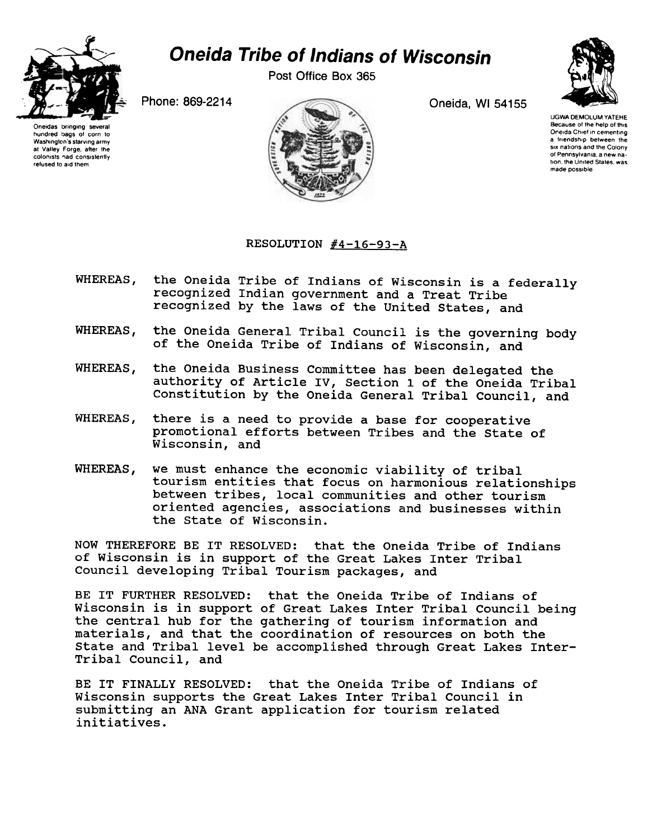

## Oneida Tribe of Indians of Wisconsin

Post Office Box 365

Oneidas bringing several hundred bags of corn 10 Washington's starving army at Valley Forge, after the colonists nad consistently refused to aid them





UGWA DEMOLUM YATEHE Because of the help of this Oneida Chief In cementing a friendship between the SIX nations and the Colony of Pennsylvania. a new nation, the United States, was made possible

## RESOLUTION  $#4-16-93-A$

- **WHEREAS,** the Oneida Tribe of Indians of Wisconsin is a federally recognized Indian government and a Treat Tribe recognized by the laws of the united states, and
- WHEREAS, the Oneida General Tribal Council is the governing body of the Oneida Tribe of Indians of Wisconsin, and
- WHEREAS, the Oneida Business Committee has been delegated the authority of Article IV, Section 1 of the Oneida Tribal Constitution by the Oneida General Tribal Council, and
- there is a need to provide a base for cooperative **WHEREAS.** promotional efforts between Tribes and the state of Wisconsin, and
- WHEREAS, we must enhance the economic viability of tribal tourism entities that focus on harmonious relationships between tribes, local communities and other tourism oriented agencies, associations and businesses within the state of Wisconsin.

NOW THEREFORE BE IT RESOLVED: that the Oneida Tribe of Indians of Wisconsin is in support of the Great Lakes Inter Tribal Council developing Tribal Tourism packages, and

BE IT FURTHER RESOLVED: that the Oneida Tribe of Indians of Wisconsin is in support of Great Lakes Inter Tribal Council being the central hub for the gathering of tourism information and materials, and that the coordination of resources on both the State and Tribal level be accomplished through Great Lakes Inter-Tribal Council, and

BE IT FINALLY RESOLVED: that the Oneida Tribe of Indians of Wisconsin supports the Great Lakes Inter Tribal Council in submitting an ANA Grant application for tourism related initiatives.